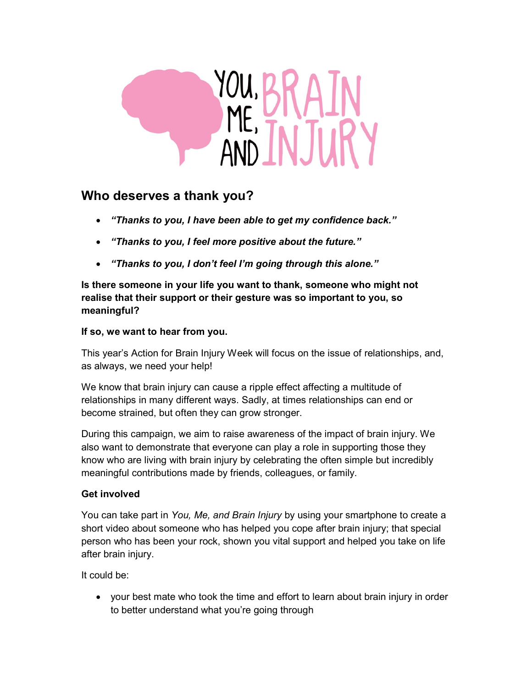

## Who deserves a thank you?

- "Thanks to you, I have been able to get my confidence back."
- "Thanks to you, I feel more positive about the future."
- "Thanks to you, I don't feel I'm going through this alone."

Is there someone in your life you want to thank, someone who might not realise that their support or their gesture was so important to you, so meaningful?

## If so, we want to hear from you.

This year's Action for Brain Injury Week will focus on the issue of relationships, and, as always, we need your help!

We know that brain injury can cause a ripple effect affecting a multitude of relationships in many different ways. Sadly, at times relationships can end or become strained, but often they can grow stronger.

During this campaign, we aim to raise awareness of the impact of brain injury. We also want to demonstrate that everyone can play a role in supporting those they know who are living with brain injury by celebrating the often simple but incredibly meaningful contributions made by friends, colleagues, or family.

## Get involved

You can take part in You, Me, and Brain Injury by using your smartphone to create a short video about someone who has helped you cope after brain injury; that special person who has been your rock, shown you vital support and helped you take on life after brain injury.

It could be:

 your best mate who took the time and effort to learn about brain injury in order to better understand what you're going through